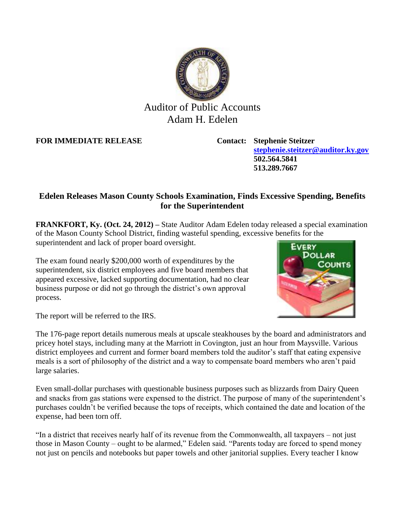

## Auditor of Public Accounts Adam H. Edelen

**FOR IMMEDIATE RELEASE Contact: Stephenie Steitzer**

**[stephenie.steitzer@auditor.ky.gov](mailto:stephenie.steitzer@auditor.ky.gov) 502.564.5841 513.289.7667**

## **Edelen Releases Mason County Schools Examination, Finds Excessive Spending, Benefits for the Superintendent**

**FRANKFORT, Ky. (Oct. 24, 2012) –** State Auditor Adam Edelen today released a special examination of the Mason County School District, finding wasteful spending, excessive benefits for the superintendent and lack of proper board oversight.

The exam found nearly \$200,000 worth of expenditures by the superintendent, six district employees and five board members that appeared excessive, lacked supporting documentation, had no clear business purpose or did not go through the district's own approval process.



The report will be referred to the IRS.

The 176-page report details numerous meals at upscale steakhouses by the board and administrators and pricey hotel stays, including many at the Marriott in Covington, just an hour from Maysville. Various district employees and current and former board members told the auditor's staff that eating expensive meals is a sort of philosophy of the district and a way to compensate board members who aren't paid large salaries.

Even small-dollar purchases with questionable business purposes such as blizzards from Dairy Queen and snacks from gas stations were expensed to the district. The purpose of many of the superintendent's purchases couldn't be verified because the tops of receipts, which contained the date and location of the expense, had been torn off.

"In a district that receives nearly half of its revenue from the Commonwealth, all taxpayers – not just those in Mason County – ought to be alarmed," Edelen said. "Parents today are forced to spend money not just on pencils and notebooks but paper towels and other janitorial supplies. Every teacher I know